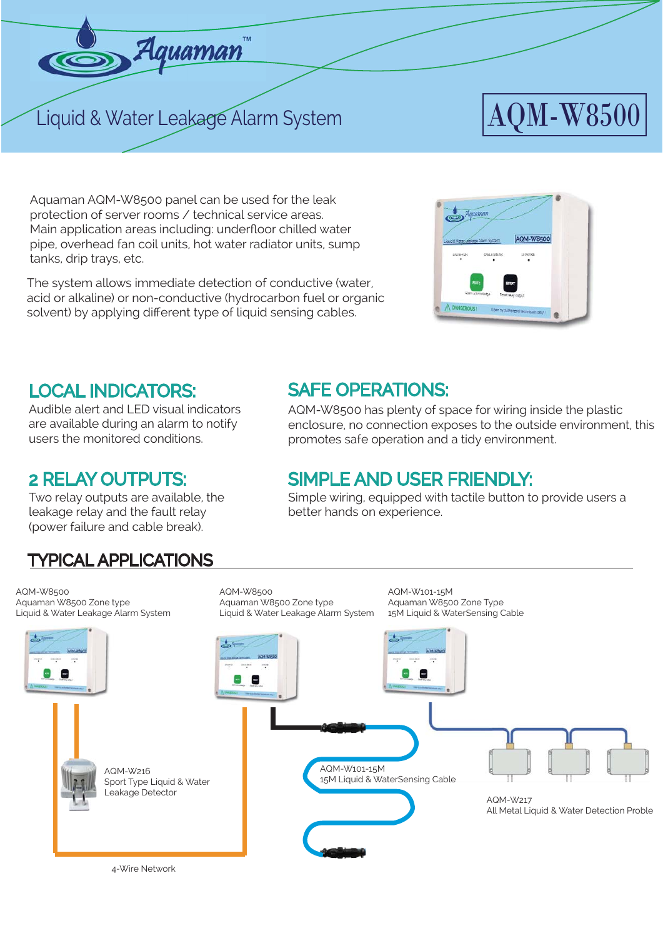

# Liquid & Water Leakage Alarm System  $\rm{AQM\text{-}W8500}$

Aquaman AQM-W8500 panel can be used for the leak protection of server rooms / technical service areas. Main application areas including: underfloor chilled water pipe, overhead fan coil units, hot water radiator units, sump tanks, drip trays, etc.

The system allows immediate detection of conductive (water, acid or alkaline) or non-conductive (hydrocarbon fuel or organic solvent) by applying different type of liquid sensing cables.



## LOCAL INDICATORS: SAFE OPERATIONS:

Audible alert and LED visual indicators are available during an alarm to notify users the monitored conditions.

Two relay outputs are available, the leakage relay and the fault relay (power failure and cable break).

TYPICAL APPLICATIONS

AQM-W8500 has plenty of space for wiring inside the plastic enclosure, no connection exposes to the outside environment, this promotes safe operation and a tidy environment.

# 2 RELAY OUTPUTS: SIMPLE AND USER FRIENDLY:

Simple wiring, equipped with tactile button to provide users a better hands on experience.

#### AQM-W8500 AQM-W8500 AQM-W101-15M Aquaman W8500 Zone type Aquaman W8500 Zone type Aquaman W8500 Zone Type Liquid & Water Leakage Alarm System Liquid & Water Leakage Alarm System 15M Liquid & WaterSensing Cable  $\overline{\phantom{a}}$ е e AQM-W101-15M AQM-W216 15M Liquid & WaterSensing Cable Sport Type Liquid & Water Leakage Detector AQM-W217 All Metal Liquid & Water Detection Proble

4-Wire Network